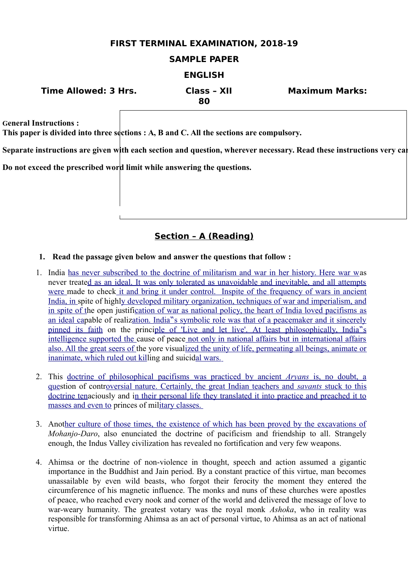## **FIRST TERMINAL EXAMINATION, 2018-19**

## **SAMPLE PAPER**

## **ENGLISH**

| <b>Time Allowed: 3 Hrs.</b> | Class - XII | <b>Maximum Marks:</b> |
|-----------------------------|-------------|-----------------------|
|                             | 80          |                       |

**General Instructions :**

**This paper is divided into three sections : A, B and C. All the sections are compulsory.**

Separate instructions are given with each section and question, wherever necessary. Read these instructions very cal

**Do not exceed the prescribed word limit while answering the questions.**

## **Section – A (Reading)**

#### **1. Read the passage given below and answer the questions that follow :**

- 1. India [has never subscribed to the doctrine of militarism and war in her history. Here war wa](file:///home/webmaster/mojo/converter/data/uploads/txxvvwyu45ebnf8v/o_1dka89gs3v8g1omm11d11u7g1ho637/%5Ch)s never treat[ed as an ideal. It was only tolerated as unavoidable and inevitable, and all attempts](file:///home/webmaster/mojo/converter/data/uploads/txxvvwyu45ebnf8v/o_1dka89gs3v8g1omm11d11u7g1ho637/%5Ch) [were m](file:///home/webmaster/mojo/converter/data/uploads/txxvvwyu45ebnf8v/o_1dka89gs3v8g1omm11d11u7g1ho637/%5Ch)ade to chec[k it and bring it under control. Inspite of the frequency of wars in ancient](file:///home/webmaster/mojo/converter/data/uploads/txxvvwyu45ebnf8v/o_1dka89gs3v8g1omm11d11u7g1ho637/%5Ch) [India, in s](file:///home/webmaster/mojo/converter/data/uploads/txxvvwyu45ebnf8v/o_1dka89gs3v8g1omm11d11u7g1ho637/%5Ch)pite of high[ly developed military organization, techniques of war and imperialism, and](file:///home/webmaster/mojo/converter/data/uploads/txxvvwyu45ebnf8v/o_1dka89gs3v8g1omm11d11u7g1ho637/%5Ch) [in spite of th](file:///home/webmaster/mojo/converter/data/uploads/txxvvwyu45ebnf8v/o_1dka89gs3v8g1omm11d11u7g1ho637/%5Ch)e open justification of war as national policy, the heart of India loved pacifisms as [an ideal cap](file:///home/webmaster/mojo/converter/data/uploads/txxvvwyu45ebnf8v/o_1dka89gs3v8g1omm11d11u7g1ho637/%5Ch)able of realization. India "s symbolic role was that of a peacemaker and it sincerely [pinned its faith](file:///home/webmaster/mojo/converter/data/uploads/txxvvwyu45ebnf8v/o_1dka89gs3v8g1omm11d11u7g1ho637/%5Ch) on the principle of 'Live and let live'. At least philosophically, India<sup>n'</sup>s [intelligence supported the c](file:///home/webmaster/mojo/converter/data/uploads/txxvvwyu45ebnf8v/o_1dka89gs3v8g1omm11d11u7g1ho637/%5Ch)ause of peac[e not only in national affairs but in international affairs](file:///home/webmaster/mojo/converter/data/uploads/txxvvwyu45ebnf8v/o_1dka89gs3v8g1omm11d11u7g1ho637/%5Ch) [also. All the great seers of t](file:///home/webmaster/mojo/converter/data/uploads/txxvvwyu45ebnf8v/o_1dka89gs3v8g1omm11d11u7g1ho637/%5Ch)he yore visua[lized the unity of life, permeating all beings, animate or](file:///home/webmaster/mojo/converter/data/uploads/txxvvwyu45ebnf8v/o_1dka89gs3v8g1omm11d11u7g1ho637/%5Ch) [inanimate, which ruled out kill](file:///home/webmaster/mojo/converter/data/uploads/txxvvwyu45ebnf8v/o_1dka89gs3v8g1omm11d11u7g1ho637/%5Ch)ing and suicidal wars.
- 2. This [doctrine of philosophical pacifisms was practiced by ancient](file:///home/webmaster/mojo/converter/data/uploads/txxvvwyu45ebnf8v/o_1dka89gs3v8g1omm11d11u7g1ho637/%5Ch) *[Aryans](file:///home/webmaster/mojo/converter/data/uploads/txxvvwyu45ebnf8v/o_1dka89gs3v8g1omm11d11u7g1ho637/%5Ch)* [is, no doubt, a](file:///home/webmaster/mojo/converter/data/uploads/txxvvwyu45ebnf8v/o_1dka89gs3v8g1omm11d11u7g1ho637/%5Ch) [ques](file:///home/webmaster/mojo/converter/data/uploads/txxvvwyu45ebnf8v/o_1dka89gs3v8g1omm11d11u7g1ho637/%5Ch)tion of controversial nature. Certainly, the great Indian teachers and *[savants](file:///home/webmaster/mojo/converter/data/uploads/txxvvwyu45ebnf8v/o_1dka89gs3v8g1omm11d11u7g1ho637/%5Ch)* [stuck to this](file:///home/webmaster/mojo/converter/data/uploads/txxvvwyu45ebnf8v/o_1dka89gs3v8g1omm11d11u7g1ho637/%5Ch) [doctrine tena](file:///home/webmaster/mojo/converter/data/uploads/txxvvwyu45ebnf8v/o_1dka89gs3v8g1omm11d11u7g1ho637/%5Ch)ciously and [in their personal life they translated it into practice and preached it to](file:///home/webmaster/mojo/converter/data/uploads/txxvvwyu45ebnf8v/o_1dka89gs3v8g1omm11d11u7g1ho637/%5Ch) [masses and even to](file:///home/webmaster/mojo/converter/data/uploads/txxvvwyu45ebnf8v/o_1dka89gs3v8g1omm11d11u7g1ho637/%5Ch) princes of military classes.
- 3. Ano[ther culture of those times, the existence of which has been proved by the excavations of](file:///home/webmaster/mojo/converter/data/uploads/txxvvwyu45ebnf8v/o_1dka89gs3v8g1omm11d11u7g1ho637/%5Ch) *Mohanjo-Daro*, also enunciated the doctrine of pacificism and friendship to all. Strangely enough, the Indus Valley civilization has revealed no fortification and very few weapons.
- 4. Ahimsa or the doctrine of non-violence in thought, speech and action assumed a gigantic importance in the Buddhist and Jain period. By a constant practice of this virtue, man becomes unassailable by even wild beasts, who forgot their ferocity the moment they entered the circumference of his magnetic influence. The monks and nuns of these churches were apostles of peace, who reached every nook and corner of the world and delivered the message of love to war-weary humanity. The greatest votary was the royal monk *Ashoka*, who in reality was responsible for transforming Ahimsa as an act of personal virtue, to Ahimsa as an act of national virtue.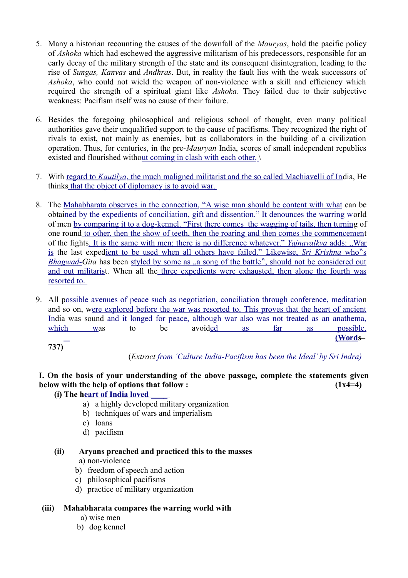- 5. Many a historian recounting the causes of the downfall of the *Mauryas*, hold the pacific policy of *Ashoka* which had eschewed the aggressive militarism of his predecessors, responsible for an early decay of the military strength of the state and its consequent disintegration, leading to the rise of *Sungas, Kanvas* and *Andhras*. But, in reality the fault lies with the weak successors of *Ashoka*, who could not wield the weapon of non-violence with a skill and efficiency which required the strength of a spiritual giant like *Ashoka*. They failed due to their subjective weakness: Pacifism itself was no cause of their failure.
- 6. Besides the foregoing philosophical and religious school of thought, even many political authorities gave their unqualified support to the cause of pacifisms. They recognized the right of rivals to exist, not mainly as enemies, but as collaborators in the building of a civilization operation. Thus, for centuries, in the pre-*Mauryan* India, scores of small independent republics existed and flourished without coming in clash with each other.  $\setminus$
- 7. With [regard to](file:///home/webmaster/mojo/converter/data/uploads/txxvvwyu45ebnf8v/o_1dka89gs3v8g1omm11d11u7g1ho637/%5Ch) *[Kautilya](file:///home/webmaster/mojo/converter/data/uploads/txxvvwyu45ebnf8v/o_1dka89gs3v8g1omm11d11u7g1ho637/%5Ch)*[, the much maligned militarist and the so called Machiavelli of Ind](file:///home/webmaster/mojo/converter/data/uploads/txxvvwyu45ebnf8v/o_1dka89gs3v8g1omm11d11u7g1ho637/%5Ch)ia, He think[s that the object of diplomacy is to avoid war.](file:///home/webmaster/mojo/converter/data/uploads/txxvvwyu45ebnf8v/o_1dka89gs3v8g1omm11d11u7g1ho637/%5Ch)
- 8. The [Mahabharata observes in the connection, "A wise man should be content with what](file:///home/webmaster/mojo/converter/data/uploads/txxvvwyu45ebnf8v/o_1dka89gs3v8g1omm11d11u7g1ho637/%5Ch) can be obta[ined by the expedients of conciliation, gift and dissention." It denounces the warring wo](file:///home/webmaster/mojo/converter/data/uploads/txxvvwyu45ebnf8v/o_1dka89gs3v8g1omm11d11u7g1ho637/%5Ch)rld of men [by comparing it to a dog -kennel. "First there comes the wagging of tails, then turning](file:///home/webmaster/mojo/converter/data/uploads/txxvvwyu45ebnf8v/o_1dka89gs3v8g1omm11d11u7g1ho637/%5Ch) of one roun[d to other, then the show of teeth, then the roaring and then comes the commencement](file:///home/webmaster/mojo/converter/data/uploads/txxvvwyu45ebnf8v/o_1dka89gs3v8g1omm11d11u7g1ho637/%5Ch) of the fights. It is the same with men; there is no difference whatever." *[Yajnavalkya](file:///home/webmaster/mojo/converter/data/uploads/txxvvwyu45ebnf8v/o_1dka89gs3v8g1omm11d11u7g1ho637/%5Ch)* [adds: "War](file:///home/webmaster/mojo/converter/data/uploads/txxvvwyu45ebnf8v/o_1dka89gs3v8g1omm11d11u7g1ho637/%5Ch) [is](file:///home/webmaster/mojo/converter/data/uploads/txxvvwyu45ebnf8v/o_1dka89gs3v8g1omm11d11u7g1ho637/%5Ch) the last expedient to be used when all others have failed." Likewise, *[Sri Krishna](file:///home/webmaster/mojo/converter/data/uploads/txxvvwyu45ebnf8v/o_1dka89gs3v8g1omm11d11u7g1ho637/%5Ch)* [who s](file:///home/webmaster/mojo/converter/data/uploads/txxvvwyu45ebnf8v/o_1dka89gs3v8g1omm11d11u7g1ho637/%5Ch) *Bhagwad-Gita* has been styled by some as , a song of the battle", should not be considered out [and out militarist](file:///home/webmaster/mojo/converter/data/uploads/txxvvwyu45ebnf8v/o_1dka89gs3v8g1omm11d11u7g1ho637/%5Ch). When all th[e three expedients were exhausted, then alone the fourth was](file:///home/webmaster/mojo/converter/data/uploads/txxvvwyu45ebnf8v/o_1dka89gs3v8g1omm11d11u7g1ho637/%5Ch)  [resorted to.](file:///home/webmaster/mojo/converter/data/uploads/txxvvwyu45ebnf8v/o_1dka89gs3v8g1omm11d11u7g1ho637/%5Ch)
- 9. All [possible avenues of peace such as negotiation, conciliation through conference, meditation](file:///home/webmaster/mojo/converter/data/uploads/txxvvwyu45ebnf8v/o_1dka89gs3v8g1omm11d11u7g1ho637/%5Ch) and so on, were explored before the war was resorted to. This proves that the heart of ancient [Ind](file:///home/webmaster/mojo/converter/data/uploads/txxvvwyu45ebnf8v/o_1dka89gs3v8g1omm11d11u7g1ho637/%5Ch)ia was soun[d and it longed for peace, although war also was not treated as an anathema,](file:///home/webmaster/mojo/converter/data/uploads/txxvvwyu45ebnf8v/o_1dka89gs3v8g1omm11d11u7g1ho637/%5Ch) [which wa](file:///home/webmaster/mojo/converter/data/uploads/txxvvwyu45ebnf8v/o_1dka89gs3v8g1omm11d11u7g1ho637/%5Ch)s to be avoi[ded as far as possible.](file:///home/webmaster/mojo/converter/data/uploads/txxvvwyu45ebnf8v/o_1dka89gs3v8g1omm11d11u7g1ho637/%5Ch) **[\(Words](file:///home/webmaster/mojo/converter/data/uploads/txxvvwyu45ebnf8v/o_1dka89gs3v8g1omm11d11u7g1ho637/%5Ch)–**

**737)**

(*Extract [from 'Culture India - Pacifism has been the Ideal' by Sri Indra\)](file:///home/webmaster/mojo/converter/data/uploads/txxvvwyu45ebnf8v/o_1dka89gs3v8g1omm11d11u7g1ho637/%5Ch)*

# **I. On the basis of your understanding of the above passage, complete the statements given below with the help of options that follow :**  $(1x4=4)$

## **(i) The heart of India loved**

- a) a highly developed military organization
- b) techniques of wars and imperialism
- c) loans
- d) pacifism

# **(ii) Aryans preached and practiced this to the masses**

a) non-violence

- b) freedom of speech and action
- c) philosophical pacifisms
- d) practice of military organization

## **(iii) Mahabharata compares the warring world with**

- a) wise men
- b) dog kennel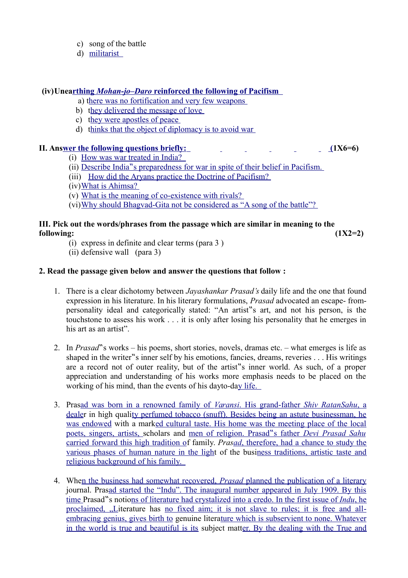- c) song of the battle
- d) [militarist](file:///home/webmaster/mojo/converter/data/uploads/txxvvwyu45ebnf8v/o_1dka89gs3v8g1omm11d11u7g1ho637/%5Ch)

## **(iv)Unearthing** *Mohan-jo-Daro* reinforced the following of Pacifism

- a) there was no fortification and very few weapons
- b) they delivered the message of love
- c) they were apostles of peace
- d) [thinks that the object of diplomacy is to avoid war](file:///home/webmaster/mojo/converter/data/uploads/txxvvwyu45ebnf8v/o_1dka89gs3v8g1omm11d11u7g1ho637/%5Ch)

## **II. An[s wer the following questions briefly:](file:///home/webmaster/mojo/converter/data/uploads/txxvvwyu45ebnf8v/o_1dka89gs3v8g1omm11d11u7g1ho637/%5Ch) [\(1](file:///home/webmaster/mojo/converter/data/uploads/txxvvwyu45ebnf8v/o_1dka89gs3v8g1omm11d11u7g1ho637/%5Ch)X6=6)**

- (i) [How was war treated in India?](file:///home/webmaster/mojo/converter/data/uploads/txxvvwyu45ebnf8v/o_1dka89gs3v8g1omm11d11u7g1ho637/%5Ch)
- (ii) Describe India " s preparedness [for war in spite of their belief in Pacifism.](file:///home/webmaster/mojo/converter/data/uploads/txxvvwyu45ebnf8v/o_1dka89gs3v8g1omm11d11u7g1ho637/%5Ch)
- (iii) [How did the Aryans practice the Doctrine of Pacifism?](file:///home/webmaster/mojo/converter/data/uploads/txxvvwyu45ebnf8v/o_1dka89gs3v8g1omm11d11u7g1ho637/%5Ch)
- (iv) [What is Ahimsa?](file:///home/webmaster/mojo/converter/data/uploads/txxvvwyu45ebnf8v/o_1dka89gs3v8g1omm11d11u7g1ho637/%5Ch)
- (v) What is the meaning of co-existence with rivals?
- (vi) Why should Bhagvad-Gita not be considered as "A song of the battle"?

### **III. Pick out the words/phrases from the passage which are similar in meaning to the following: (1X2=2)**

- (i) express in definite and clear terms (para 3 )
- (ii) defensive wall (para 3)

## **2. Read the passage given below and answer the questions that follow :**

- 1. There is a clear dichotomy between *Jayashankar Prasad's* daily life and the one that found expression in his literature. In his literary formulations, *Prasad* advocated an escape- frompersonality ideal and categorically stated: "An artist"s art, and not his person, is the touchstone to assess his work . . . it is only after losing his personality that he emerges in his art as an artist".
- 2. In *Prasad*"s works his poems, short stories, novels, dramas etc. what emerges is life as shaped in the writer"s inner self by his emotions, fancies, dreams, reveries  $\dots$ . His writings are a record not of outer reality, but of the artist s inner world. As such, of a proper appreciation and understanding of his works more emphasis needs to be placed on the working of his mind, than the events of his dayto-day life.
- 3. Prasad was born in a renowned family of *[Varansi](file:///home/webmaster/mojo/converter/data/uploads/txxvvwyu45ebnf8v/o_1dka89gs3v8g1omm11d11u7g1ho637/%5Ch)*. His grand-father *[Shiv RatanSahu](file:///home/webmaster/mojo/converter/data/uploads/txxvvwyu45ebnf8v/o_1dka89gs3v8g1omm11d11u7g1ho637/%5Ch)*[, a](file:///home/webmaster/mojo/converter/data/uploads/txxvvwyu45ebnf8v/o_1dka89gs3v8g1omm11d11u7g1ho637/%5Ch) [dealer](file:///home/webmaster/mojo/converter/data/uploads/txxvvwyu45ebnf8v/o_1dka89gs3v8g1omm11d11u7g1ho637/%5Ch) in high qual[ity perfumed tobacco \(snuff\). Besides being an astute businessman, he](file:///home/webmaster/mojo/converter/data/uploads/txxvvwyu45ebnf8v/o_1dka89gs3v8g1omm11d11u7g1ho637/%5Ch) [was endowed](file:///home/webmaster/mojo/converter/data/uploads/txxvvwyu45ebnf8v/o_1dka89gs3v8g1omm11d11u7g1ho637/%5Ch) with a mar[ked cultural taste. His home was the meeting place of the local](file:///home/webmaster/mojo/converter/data/uploads/txxvvwyu45ebnf8v/o_1dka89gs3v8g1omm11d11u7g1ho637/%5Ch) [poets, singers, artists, s](file:///home/webmaster/mojo/converter/data/uploads/txxvvwyu45ebnf8v/o_1dka89gs3v8g1omm11d11u7g1ho637/%5Ch)cholars and [men of religion. Prasad s father](file:///home/webmaster/mojo/converter/data/uploads/txxvvwyu45ebnf8v/o_1dka89gs3v8g1omm11d11u7g1ho637/%5Ch) *[Devi Prasad Sahu](file:///home/webmaster/mojo/converter/data/uploads/txxvvwyu45ebnf8v/o_1dka89gs3v8g1omm11d11u7g1ho637/%5Ch)* [carried forward this high tradition of](file:///home/webmaster/mojo/converter/data/uploads/txxvvwyu45ebnf8v/o_1dka89gs3v8g1omm11d11u7g1ho637/%5Ch) family. *Pra[s ad](file:///home/webmaster/mojo/converter/data/uploads/txxvvwyu45ebnf8v/o_1dka89gs3v8g1omm11d11u7g1ho637/%5Ch)*[, therefore, had a chance to study the](file:///home/webmaster/mojo/converter/data/uploads/txxvvwyu45ebnf8v/o_1dka89gs3v8g1omm11d11u7g1ho637/%5Ch) [various phases of human nature in the light](file:///home/webmaster/mojo/converter/data/uploads/txxvvwyu45ebnf8v/o_1dka89gs3v8g1omm11d11u7g1ho637/%5Ch) of the bus[iness traditions, artistic taste and](file:///home/webmaster/mojo/converter/data/uploads/txxvvwyu45ebnf8v/o_1dka89gs3v8g1omm11d11u7g1ho637/%5Ch)  [religious background of his family.](file:///home/webmaster/mojo/converter/data/uploads/txxvvwyu45ebnf8v/o_1dka89gs3v8g1omm11d11u7g1ho637/%5Ch)
- 4. When the business had somewhat recovered, *[Prasad](file:///home/webmaster/mojo/converter/data/uploads/txxvvwyu45ebnf8v/o_1dka89gs3v8g1omm11d11u7g1ho637/%5Ch)* [planned the publication of a literary](file:///home/webmaster/mojo/converter/data/uploads/txxvvwyu45ebnf8v/o_1dka89gs3v8g1omm11d11u7g1ho637/%5Ch) journal. Pra[sad started the "Indu". The inaugural number appeared in July 1909. By this](file:///home/webmaster/mojo/converter/data/uploads/txxvvwyu45ebnf8v/o_1dka89gs3v8g1omm11d11u7g1ho637/%5Ch) [time P](file:///home/webmaster/mojo/converter/data/uploads/txxvvwyu45ebnf8v/o_1dka89gs3v8g1omm11d11u7g1ho637/%5Ch)rasad s notions of literature had crystalized into a credo. In the first issue of *[Indu](file:///home/webmaster/mojo/converter/data/uploads/txxvvwyu45ebnf8v/o_1dka89gs3v8g1omm11d11u7g1ho637/%5Ch)*[, he](file:///home/webmaster/mojo/converter/data/uploads/txxvvwyu45ebnf8v/o_1dka89gs3v8g1omm11d11u7g1ho637/%5Ch) [proclaimed, "Li](file:///home/webmaster/mojo/converter/data/uploads/txxvvwyu45ebnf8v/o_1dka89gs3v8g1omm11d11u7g1ho637/%5Ch)terature has [no fixed aim; it is not slave to rules; it is free and all](file:///home/webmaster/mojo/converter/data/uploads/txxvvwyu45ebnf8v/o_1dka89gs3v8g1omm11d11u7g1ho637/%5Ch)  [embracing genius, gives birth to](file:///home/webmaster/mojo/converter/data/uploads/txxvvwyu45ebnf8v/o_1dka89gs3v8g1omm11d11u7g1ho637/%5Ch) genuine liter[ature which is subservient to none. Whatever](file:///home/webmaster/mojo/converter/data/uploads/txxvvwyu45ebnf8v/o_1dka89gs3v8g1omm11d11u7g1ho637/%5Ch) [in the world is true and beautiful is its](file:///home/webmaster/mojo/converter/data/uploads/txxvvwyu45ebnf8v/o_1dka89gs3v8g1omm11d11u7g1ho637/%5Ch) subject mat[ter. By the dealing with the True and](file:///home/webmaster/mojo/converter/data/uploads/txxvvwyu45ebnf8v/o_1dka89gs3v8g1omm11d11u7g1ho637/%5Ch)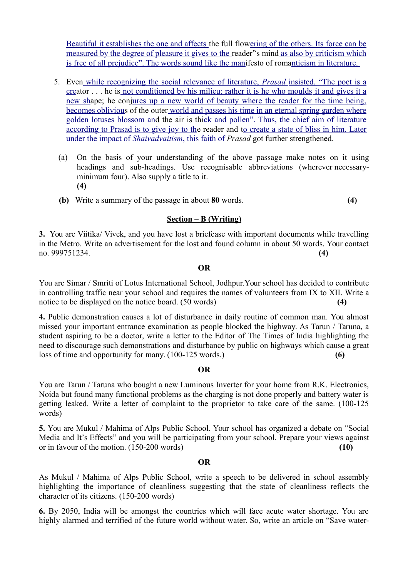[Beautiful it establishes the one and affects t](file:///home/webmaster/mojo/converter/data/uploads/txxvvwyu45ebnf8v/o_1dka89gs3v8g1omm11d11u7g1ho637/%5Ch)he full flo[wering of the others. Its force can be](file:///home/webmaster/mojo/converter/data/uploads/txxvvwyu45ebnf8v/o_1dka89gs3v8g1omm11d11u7g1ho637/%5Ch) [measured by the degree of pleasure it gives to the r](file:///home/webmaster/mojo/converter/data/uploads/txxvvwyu45ebnf8v/o_1dka89gs3v8g1omm11d11u7g1ho637/%5Ch)eader " is mind [as also by criticism which](file:///home/webmaster/mojo/converter/data/uploads/txxvvwyu45ebnf8v/o_1dka89gs3v8g1omm11d11u7g1ho637/%5Ch) [is free of all prejudice". The words sound like the mani](file:///home/webmaster/mojo/converter/data/uploads/txxvvwyu45ebnf8v/o_1dka89gs3v8g1omm11d11u7g1ho637/%5Ch)festo of romanticism in literature.

- 5. Eve[n while recognizing the social relevance of literature,](file:///home/webmaster/mojo/converter/data/uploads/txxvvwyu45ebnf8v/o_1dka89gs3v8g1omm11d11u7g1ho637/%5Ch) *[Prasad](file:///home/webmaster/mojo/converter/data/uploads/txxvvwyu45ebnf8v/o_1dka89gs3v8g1omm11d11u7g1ho637/%5Ch)* [insisted, "The poet is a](file:///home/webmaster/mojo/converter/data/uploads/txxvvwyu45ebnf8v/o_1dka89gs3v8g1omm11d11u7g1ho637/%5Ch) [crea](file:///home/webmaster/mojo/converter/data/uploads/txxvvwyu45ebnf8v/o_1dka89gs3v8g1omm11d11u7g1ho637/%5Ch)tor . . . he i[s not conditioned by his milieu; rather it is he who moulds it and gives it a](file:///home/webmaster/mojo/converter/data/uploads/txxvvwyu45ebnf8v/o_1dka89gs3v8g1omm11d11u7g1ho637/%5Ch) [new sha](file:///home/webmaster/mojo/converter/data/uploads/txxvvwyu45ebnf8v/o_1dka89gs3v8g1omm11d11u7g1ho637/%5Ch)pe; he con[jures up a new world of beauty where the reader for the time being,](file:///home/webmaster/mojo/converter/data/uploads/txxvvwyu45ebnf8v/o_1dka89gs3v8g1omm11d11u7g1ho637/%5Ch) [becomes oblivious](file:///home/webmaster/mojo/converter/data/uploads/txxvvwyu45ebnf8v/o_1dka89gs3v8g1omm11d11u7g1ho637/%5Ch) of the oute[r world and passes his time in an eternal spring garden where](file:///home/webmaster/mojo/converter/data/uploads/txxvvwyu45ebnf8v/o_1dka89gs3v8g1omm11d11u7g1ho637/%5Ch) [golden lotuses blossom and](file:///home/webmaster/mojo/converter/data/uploads/txxvvwyu45ebnf8v/o_1dka89gs3v8g1omm11d11u7g1ho637/%5Ch) the air is th[ick and pollen". Thus, the chief aim of literature](file:///home/webmaster/mojo/converter/data/uploads/txxvvwyu45ebnf8v/o_1dka89gs3v8g1omm11d11u7g1ho637/%5Ch) [according to Prasad is to give joy to the](file:///home/webmaster/mojo/converter/data/uploads/txxvvwyu45ebnf8v/o_1dka89gs3v8g1omm11d11u7g1ho637/%5Ch) reader and [to create a state of bliss in him. Later](file:///home/webmaster/mojo/converter/data/uploads/txxvvwyu45ebnf8v/o_1dka89gs3v8g1omm11d11u7g1ho637/%5Ch)  [under the impact of](file:///home/webmaster/mojo/converter/data/uploads/txxvvwyu45ebnf8v/o_1dka89gs3v8g1omm11d11u7g1ho637/%5Ch) *[Shaivadvaitism](file:///home/webmaster/mojo/converter/data/uploads/txxvvwyu45ebnf8v/o_1dka89gs3v8g1omm11d11u7g1ho637/%5Ch)*[, this faith of](file:///home/webmaster/mojo/converter/data/uploads/txxvvwyu45ebnf8v/o_1dka89gs3v8g1omm11d11u7g1ho637/%5Ch) *Prasad* got further strengthened.
	- (a) On the basis of your understanding of the above passage make notes on it using headings and sub-headings. Use recognisable abbreviations (wherever necessaryminimum four). Also supply a title to it. **(4)**
	- **(b)** Write a summary of the passage in about **80** words. **(4)**

## **Section – B (Writing)**

**3.** You are Viitika/ Vivek, and you have lost a briefcase with important documents while travelling in the Metro. Write an advertisement for the lost and found column in about 50 words. Your contact no. 999751234. **(4)**

#### **OR**

You are Simar / Smriti of Lotus International School, Jodhpur.Your school has decided to contribute in controlling traffic near your school and requires the names of volunteers from IX to XII. Write a notice to be displayed on the notice board. (50 words)

**4.** Public demonstration causes a lot of disturbance in daily routine of common man. You almost missed your important entrance examination as people blocked the highway. As Tarun / Taruna, a student aspiring to be a doctor, write a letter to the Editor of The Times of India highlighting the need to discourage such demonstrations and disturbance by public on highways which cause a great loss of time and opportunity for many. (100-125 words.) (6)

#### **OR**

You are Tarun / Taruna who bought a new Luminous Inverter for your home from R.K. Electronics, Noida but found many functional problems as the charging is not done properly and battery water is getting leaked. Write a letter of complaint to the proprietor to take care of the same. (100-125 words)

**5.** You are Mukul / Mahima of Alps Public School. Your school has organized a debate on "Social Media and It's Effects" and you will be participating from your school. Prepare your views against or in favour of the motion. (150-200 words) **(10)**

#### **OR**

As Mukul / Mahima of Alps Public School, write a speech to be delivered in school assembly highlighting the importance of cleanliness suggesting that the state of cleanliness reflects the character of its citizens. (150-200 words)

**6.** By 2050, India will be amongst the countries which will face acute water shortage. You are highly alarmed and terrified of the future world without water. So, write an article on "Save water-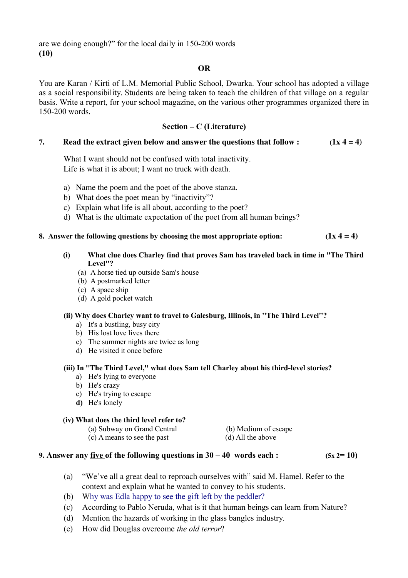are we doing enough?" for the local daily in 150-200 words **(10)**

#### **OR**

You are Karan / Kirti of L.M. Memorial Public School, Dwarka. Your school has adopted a village as a social responsibility. Students are being taken to teach the children of that village on a regular basis. Write a report, for your school magazine, on the various other programmes organized there in 150-200 words.

## **Section – C (Literature)**

#### **7.** Read the extract given below and answer the questions that follow :  $(1x 4 = 4)$

What I want should not be confused with total inactivity. Life is what it is about; I want no truck with death.

- a) Name the poem and the poet of the above stanza.
- b) What does the poet mean by "inactivity"?
- c) Explain what life is all about, according to the poet?
- d) What is the ultimate expectation of the poet from all human beings?

#### **8.** Answer the following questions by choosing the most appropriate option:  $(1x 4 = 4)$

#### **(i) What clue does Charley find that proves Sam has traveled back in time in ''The Third Level''?**

- (a) A horse tied up outside Sam's house
- (b) A postmarked letter
- (c) A space ship
- (d) A gold pocket watch

#### **(ii) Why does Charley want to travel to Galesburg, Illinois, in ''The Third Level''?**

- a) It's a bustling, busy city
- b) His lost love lives there
- c) The summer nights are twice as long
- d) He visited it once before

#### **(iii) In ''The Third Level,'' what does Sam tell Charley about his third-level stories?**

- a) He's lying to everyone
- b) He's crazy
- c) He's trying to escape
- **d)** He's lonely

#### **(iv) What does the third level refer to?**

(a) Subway on Grand Central (b) Medium of escape

(c) A means to see the past (d) All the above

### **9.** Answer any <u>five of the following questions in  $30 - 40$  words each :  $(5x 2=10)$ </u>

- (a) "We've all a great deal to reproach ourselves with" said M. Hamel. Refer to the context and explain what he wanted to convey to his students.
- (b) Why was Edla happy to see the gift left by the peddler?
- (c) According to Pablo Neruda, what is it that human beings can learn from Nature?
- (d) Mention the hazards of working in the glass bangles industry.
- (e) How did Douglas overcome *the old terror*?